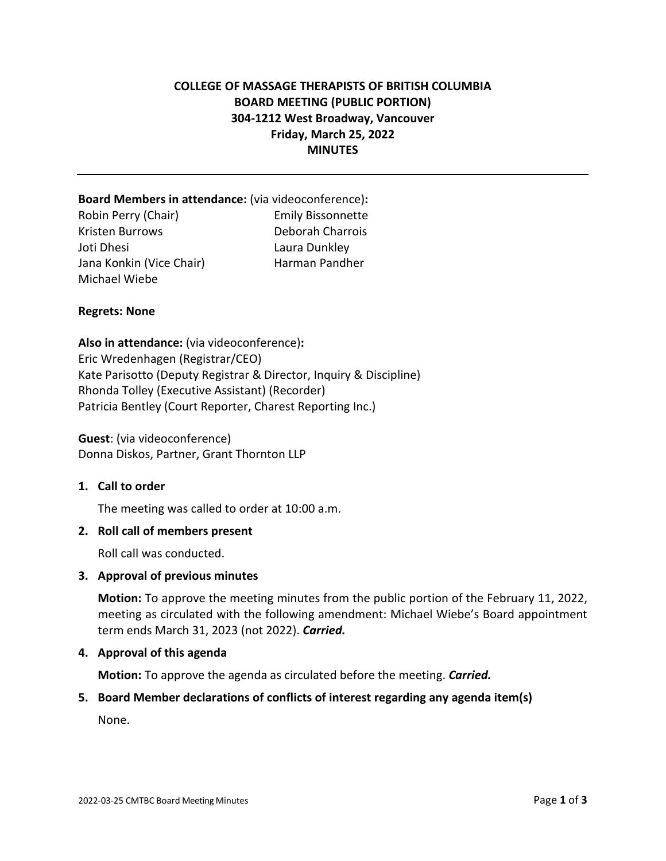# **COLLEGE OF MASSAGE THERAPISTS OF BRITISH COLUMBIA BOARD MEETING (PUBLIC PORTION) 304-1212 West Broadway, Vancouver Friday, March 25, 2022 MINUTES**

# **Board Members in attendance:** (via videoconference)**:**  Robin Perry (Chair) Emily Bissonnette Kristen Burrows Deborah Charrois Joti Dhesi Laura Dunkley Jana Konkin (Vice Chair) Harman Pandher Michael Wiebe

## **Regrets: None**

**Also in attendance:** (via videoconference)**:**  Eric Wredenhagen (Registrar/CEO) Kate Parisotto (Deputy Registrar & Director, Inquiry & Discipline) Rhonda Tolley (Executive Assistant) (Recorder) Patricia Bentley (Court Reporter, Charest Reporting Inc.)

**Guest**: (via videoconference) Donna Diskos, Partner, Grant Thornton LLP

#### **1. Call to order**

The meeting was called to order at 10:00 a.m.

#### **2. Roll call of members present**

Roll call was conducted.

#### **3. Approval of previous minutes**

**Motion:** To approve the meeting minutes from the public portion of the February 11, 2022, meeting as circulated with the following amendment: Michael Wiebe's Board appointment term ends March 31, 2023 (not 2022). *Carried.*

#### **4. Approval of this agenda**

**Motion:** To approve the agenda as circulated before the meeting. *Carried.* 

#### **5. Board Member declarations of conflicts of interest regarding any agenda item(s)**

None.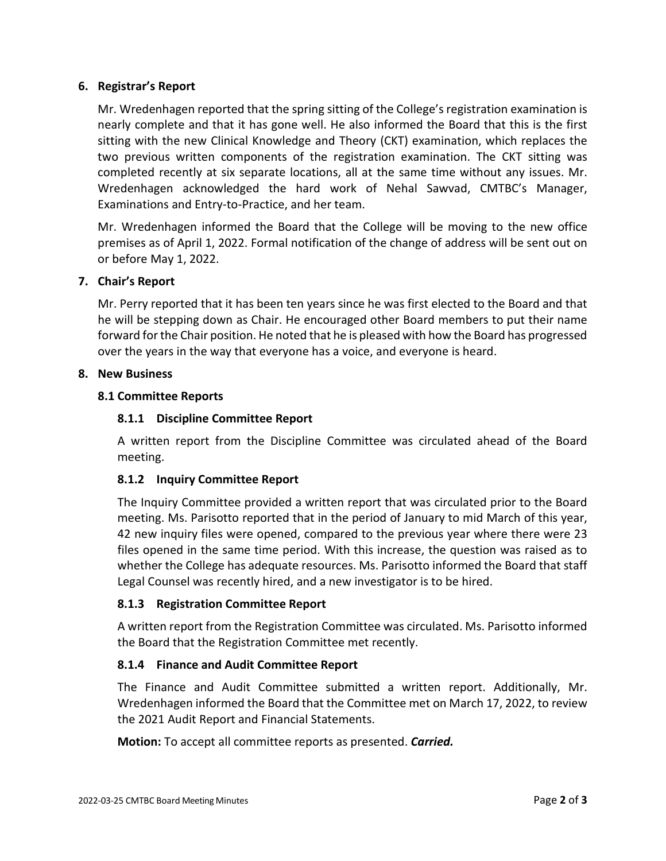## **6. Registrar's Report**

Mr. Wredenhagen reported that the spring sitting of the College's registration examination is nearly complete and that it has gone well. He also informed the Board that this is the first sitting with the new Clinical Knowledge and Theory (CKT) examination, which replaces the two previous written components of the registration examination. The CKT sitting was completed recently at six separate locations, all at the same time without any issues. Mr. Wredenhagen acknowledged the hard work of Nehal Sawvad, CMTBC's Manager, Examinations and Entry-to-Practice, and her team.

Mr. Wredenhagen informed the Board that the College will be moving to the new office premises as of April 1, 2022. Formal notification of the change of address will be sent out on or before May 1, 2022.

## **7. Chair's Report**

Mr. Perry reported that it has been ten years since he was first elected to the Board and that he will be stepping down as Chair. He encouraged other Board members to put their name forward for the Chair position. He noted that he is pleased with how the Board has progressed over the years in the way that everyone has a voice, and everyone is heard.

#### **8. New Business**

## **8.1 Committee Reports**

## **8.1.1 Discipline Committee Report**

A written report from the Discipline Committee was circulated ahead of the Board meeting.

# **8.1.2 Inquiry Committee Report**

The Inquiry Committee provided a written report that was circulated prior to the Board meeting. Ms. Parisotto reported that in the period of January to mid March of this year, 42 new inquiry files were opened, compared to the previous year where there were 23 files opened in the same time period. With this increase, the question was raised as to whether the College has adequate resources. Ms. Parisotto informed the Board that staff Legal Counsel was recently hired, and a new investigator is to be hired.

# **8.1.3 Registration Committee Report**

A written report from the Registration Committee was circulated. Ms. Parisotto informed the Board that the Registration Committee met recently.

# **8.1.4 Finance and Audit Committee Report**

The Finance and Audit Committee submitted a written report. Additionally, Mr. Wredenhagen informed the Board that the Committee met on March 17, 2022, to review the 2021 Audit Report and Financial Statements.

**Motion:** To accept all committee reports as presented. *Carried.*